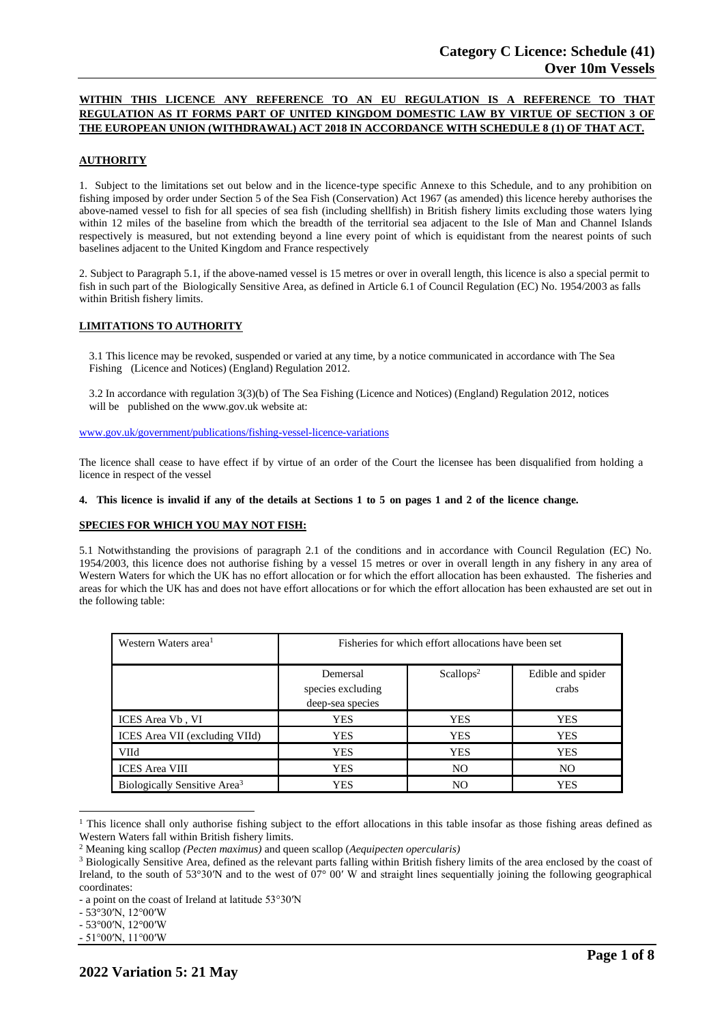# **WITHIN THIS LICENCE ANY REFERENCE TO AN EU REGULATION IS A REFERENCE TO THAT REGULATION AS IT FORMS PART OF UNITED KINGDOM DOMESTIC LAW BY VIRTUE OF SECTION 3 OF THE EUROPEAN UNION (WITHDRAWAL) ACT 2018 IN ACCORDANCE WITH SCHEDULE 8 (1) OF THAT ACT.**

## **AUTHORITY**

1. Subject to the limitations set out below and in the licence-type specific Annexe to this Schedule, and to any prohibition on fishing imposed by order under Section 5 of the Sea Fish (Conservation) Act 1967 (as amended) this licence hereby authorises the above-named vessel to fish for all species of sea fish (including shellfish) in British fishery limits excluding those waters lying within 12 miles of the baseline from which the breadth of the territorial sea adjacent to the Isle of Man and Channel Islands respectively is measured, but not extending beyond a line every point of which is equidistant from the nearest points of such baselines adjacent to the United Kingdom and France respectively

2. Subject to Paragraph 5.1, if the above-named vessel is 15 metres or over in overall length, this licence is also a special permit to fish in such part of the Biologically Sensitive Area, as defined in Article 6.1 of Council Regulation (EC) No. 1954/2003 as falls within British fishery limits.

# **LIMITATIONS TO AUTHORITY**

3.1 This licence may be revoked, suspended or varied at any time, by a notice communicated in accordance with The Sea Fishing (Licence and Notices) (England) Regulation 2012.

3.2 In accordance with regulation 3(3)(b) of The Sea Fishing (Licence and Notices) (England) Regulation 2012, notices will be published on the [www.gov.uk](http://www.gov.uk/) website at:

[www.gov.uk/government/publications/fishing-vessel-licence-variations](http://www.gov.uk/government/publications/fishing-vessel-licence-variations)

The licence shall cease to have effect if by virtue of an order of the Court the licensee has been disqualified from holding a licence in respect of the vessel

# 4. This licence is invalid if any of the details at Sections 1 to 5 on pages 1 and 2 of the licence change.

### **SPECIES FOR WHICH YOU MAY NOT FISH:**

5.1 Notwithstanding the provisions of paragraph 2.1 of the conditions and in accordance with Council Regulation (EC) No. 1954/2003, this licence does not authorise fishing by a vessel 15 metres or over in overall length in any fishery in any area of Western Waters for which the UK has no effort allocation or for which the effort allocation has been exhausted. The fisheries and areas for which the UK has and does not have effort allocations or for which the effort allocation has been exhausted are set out in the following table:

| Western Waters area <sup>1</sup>         | Fisheries for which effort allocations have been set |                       |                            |
|------------------------------------------|------------------------------------------------------|-----------------------|----------------------------|
|                                          | Demersal<br>species excluding<br>deep-sea species    | Scallops <sup>2</sup> | Edible and spider<br>crabs |
| ICES Area Vb, VI                         | <b>YES</b>                                           | <b>YES</b>            | <b>YES</b>                 |
| ICES Area VII (excluding VIId)           | <b>YES</b>                                           | <b>YES</b>            | <b>YES</b>                 |
| <b>VIId</b>                              | YES                                                  | <b>YES</b>            | <b>YES</b>                 |
| <b>ICES</b> Area VIII                    | <b>YES</b>                                           | N <sub>O</sub>        | N <sub>O</sub>             |
| Biologically Sensitive Area <sup>3</sup> | <b>YES</b>                                           | NO.                   | <b>YES</b>                 |

<sup>&</sup>lt;sup>1</sup> This licence shall only authorise fishing subject to the effort allocations in this table insofar as those fishing areas defined as Western Waters fall within British fishery limits.

<sup>2</sup> Meaning king scallop *(Pecten maximus)* and queen scallop (*Aequipecten opercularis)*

<sup>&</sup>lt;sup>3</sup> Biologically Sensitive Area, defined as the relevant parts falling within British fishery limits of the area enclosed by the coast of Ireland, to the south of 53°30′N and to the west of  $07^{\circ}$  00′ W and straight lines sequentially joining the following geographical coordinates:

<sup>-</sup> a point on the coast of Ireland at latitude 53°30′N

<sup>-</sup> 53°30′N, 12°00′W

<sup>-</sup> 53°00′N, 12°00′W

<sup>-</sup> 51°00′N, 11°00′W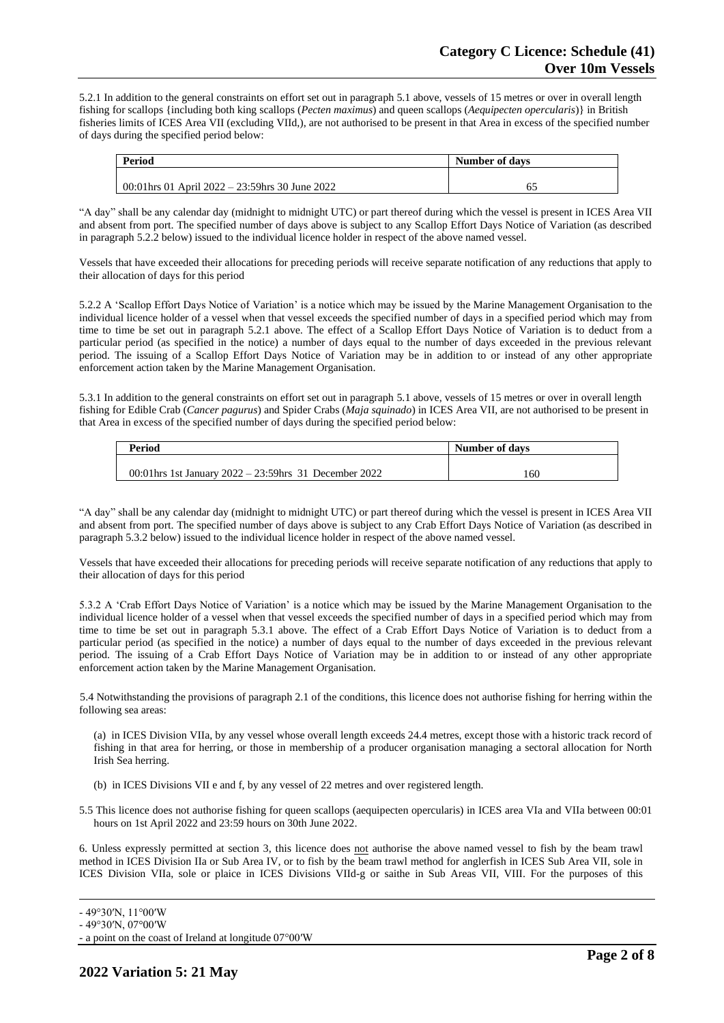5.2.1 In addition to the general constraints on effort set out in paragraph 5.1 above, vessels of 15 metres or over in overall length fishing for scallops {including both king scallops (*Pecten maximus*) and queen scallops (*Aequipecten opercularis*)} in British fisheries limits of ICES Area VII (excluding VIId,), are not authorised to be present in that Area in excess of the specified number of days during the specified period below:

| Period                                           | Number of days |  |
|--------------------------------------------------|----------------|--|
|                                                  |                |  |
| 00:01 hrs 01 April 2022 – 23:59 hrs 30 June 2022 | 62             |  |

"A day" shall be any calendar day (midnight to midnight UTC) or part thereof during which the vessel is present in ICES Area VII and absent from port. The specified number of days above is subject to any Scallop Effort Days Notice of Variation (as described in paragraph 5.2.2 below) issued to the individual licence holder in respect of the above named vessel.

Vessels that have exceeded their allocations for preceding periods will receive separate notification of any reductions that apply to their allocation of days for this period

5.2.2 A 'Scallop Effort Days Notice of Variation' is a notice which may be issued by the Marine Management Organisation to the individual licence holder of a vessel when that vessel exceeds the specified number of days in a specified period which may from time to time be set out in paragraph 5.2.1 above. The effect of a Scallop Effort Days Notice of Variation is to deduct from a particular period (as specified in the notice) a number of days equal to the number of days exceeded in the previous relevant period. The issuing of a Scallop Effort Days Notice of Variation may be in addition to or instead of any other appropriate enforcement action taken by the Marine Management Organisation.

5.3.1 In addition to the general constraints on effort set out in paragraph 5.1 above, vessels of 15 metres or over in overall length fishing for Edible Crab (*Cancer pagurus*) and Spider Crabs (*Maja squinado*) in ICES Area VII, are not authorised to be present in that Area in excess of the specified number of days during the specified period below:

| <b>Period</b>                                             | Number of days |  |
|-----------------------------------------------------------|----------------|--|
| 00:01 hrs 1st January $2022 - 23:59$ hrs 31 December 2022 |                |  |
|                                                           | 160            |  |

"A day" shall be any calendar day (midnight to midnight UTC) or part thereof during which the vessel is present in ICES Area VII and absent from port. The specified number of days above is subject to any Crab Effort Days Notice of Variation (as described in paragraph 5.3.2 below) issued to the individual licence holder in respect of the above named vessel.

Vessels that have exceeded their allocations for preceding periods will receive separate notification of any reductions that apply to their allocation of days for this period

5.3.2 A 'Crab Effort Days Notice of Variation' is a notice which may be issued by the Marine Management Organisation to the individual licence holder of a vessel when that vessel exceeds the specified number of days in a specified period which may from time to time be set out in paragraph 5.3.1 above. The effect of a Crab Effort Days Notice of Variation is to deduct from a particular period (as specified in the notice) a number of days equal to the number of days exceeded in the previous relevant period. The issuing of a Crab Effort Days Notice of Variation may be in addition to or instead of any other appropriate enforcement action taken by the Marine Management Organisation.

5.4 Notwithstanding the provisions of paragraph 2.1 of the conditions, this licence does not authorise fishing for herring within the following sea areas:

(a) in ICES Division VIIa, by any vessel whose overall length exceeds 24.4 metres, except those with a historic track record of fishing in that area for herring, or those in membership of a producer organisation managing a sectoral allocation for North Irish Sea herring.

- (b) in ICES Divisions VII e and f, by any vessel of 22 metres and over registered length.
- 5.5 This licence does not authorise fishing for queen scallops (aequipecten opercularis) in ICES area VIa and VIIa between 00:01 hours on 1st April 2022 and 23:59 hours on 30th June 2022.

6. Unless expressly permitted at section 3, this licence does not authorise the above named vessel to fish by the beam trawl method in ICES Division IIa or Sub Area IV, or to fish by the beam trawl method for anglerfish in ICES Sub Area VII, sole in ICES Division VIIa, sole or plaice in ICES Divisions VIId-g or saithe in Sub Areas VII, VIII. For the purposes of this

<sup>-</sup> 49°30′N, 11°00′W

<sup>-</sup> 49°30′N, 07°00′W

<sup>-</sup> a point on the coast of Ireland at longitude 07°00′W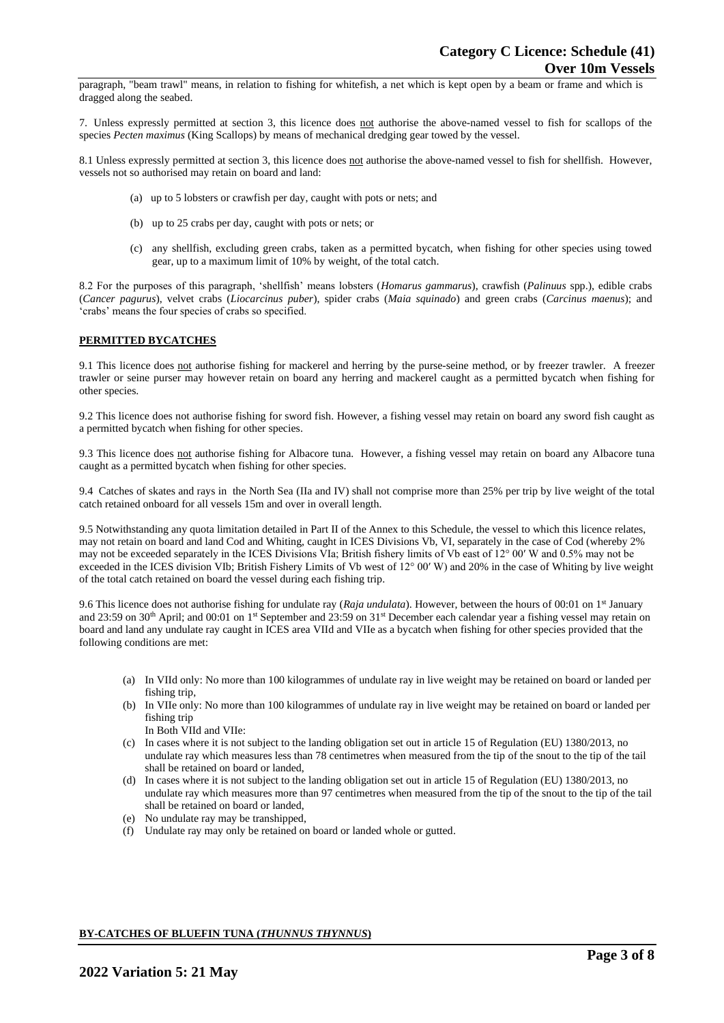paragraph, "beam trawl" means, in relation to fishing for whitefish, a net which is kept open by a beam or frame and which is dragged along the seabed.

7. Unless expressly permitted at section 3, this licence does not authorise the above-named vessel to fish for scallops of the species *Pecten maximus* (King Scallops) by means of mechanical dredging gear towed by the vessel.

8.1 Unless expressly permitted at section 3, this licence does not authorise the above-named vessel to fish for shellfish. However, vessels not so authorised may retain on board and land:

- (a) up to 5 lobsters or crawfish per day, caught with pots or nets; and
- (b) up to 25 crabs per day, caught with pots or nets; or
- (c) any shellfish, excluding green crabs, taken as a permitted bycatch, when fishing for other species using towed gear, up to a maximum limit of 10% by weight, of the total catch.

8.2 For the purposes of this paragraph, 'shellfish' means lobsters (*Homarus gammarus*), crawfish (*Palinuus* spp.), edible crabs (*Cancer pagurus*), velvet crabs (*Liocarcinus puber*), spider crabs (*Maia squinado*) and green crabs (*Carcinus maenus*); and 'crabs' means the four species of crabs so specified.

### **PERMITTED BYCATCHES**

9.1 This licence does not authorise fishing for mackerel and herring by the purse-seine method, or by freezer trawler. A freezer trawler or seine purser may however retain on board any herring and mackerel caught as a permitted bycatch when fishing for other species.

9.2 This licence does not authorise fishing for sword fish. However, a fishing vessel may retain on board any sword fish caught as a permitted bycatch when fishing for other species.

9.3 This licence does not authorise fishing for Albacore tuna. However, a fishing vessel may retain on board any Albacore tuna caught as a permitted bycatch when fishing for other species.

9.4 Catches of skates and rays in the North Sea (IIa and IV) shall not comprise more than 25% per trip by live weight of the total catch retained onboard for all vessels 15m and over in overall length.

9.5 Notwithstanding any quota limitation detailed in Part II of the Annex to this Schedule, the vessel to which this licence relates, may not retain on board and land Cod and Whiting, caught in ICES Divisions Vb, VI, separately in the case of Cod (whereby 2% may not be exceeded separately in the ICES Divisions VIa; British fishery limits of Vb east of 12° 00′ W and 0.5% may not be exceeded in the ICES division VIb; British Fishery Limits of Vb west of 12° 00′ W) and 20% in the case of Whiting by live weight of the total catch retained on board the vessel during each fishing trip.

9.6 This licence does not authorise fishing for undulate ray (*Raja undulata*). However, between the hours of 00:01 on 1<sup>st</sup> January and 23:59 on 30<sup>th</sup> April; and 00:01 on 1<sup>st</sup> September and 23:59 on 31<sup>st</sup> December each calendar year a fishing vessel may retain on board and land any undulate ray caught in ICES area VIId and VIIe as a bycatch when fishing for other species provided that the following conditions are met:

- (a) In VIId only: No more than 100 kilogrammes of undulate ray in live weight may be retained on board or landed per fishing trip,
- (b) In VIIe only: No more than 100 kilogrammes of undulate ray in live weight may be retained on board or landed per fishing trip
	- In Both VIId and VIIe:
- (c) In cases where it is not subject to the landing obligation set out in article 15 of Regulation (EU) 1380/2013, no undulate ray which measures less than 78 centimetres when measured from the tip of the snout to the tip of the tail shall be retained on board or landed,
- (d) In cases where it is not subject to the landing obligation set out in article 15 of Regulation (EU) 1380/2013, no undulate ray which measures more than 97 centimetres when measured from the tip of the snout to the tip of the tail shall be retained on board or landed,
- (e) No undulate ray may be transhipped,
- (f) Undulate ray may only be retained on board or landed whole or gutted.

### **BY-CATCHES OF BLUEFIN TUNA (***THUNNUS THYNNUS***)**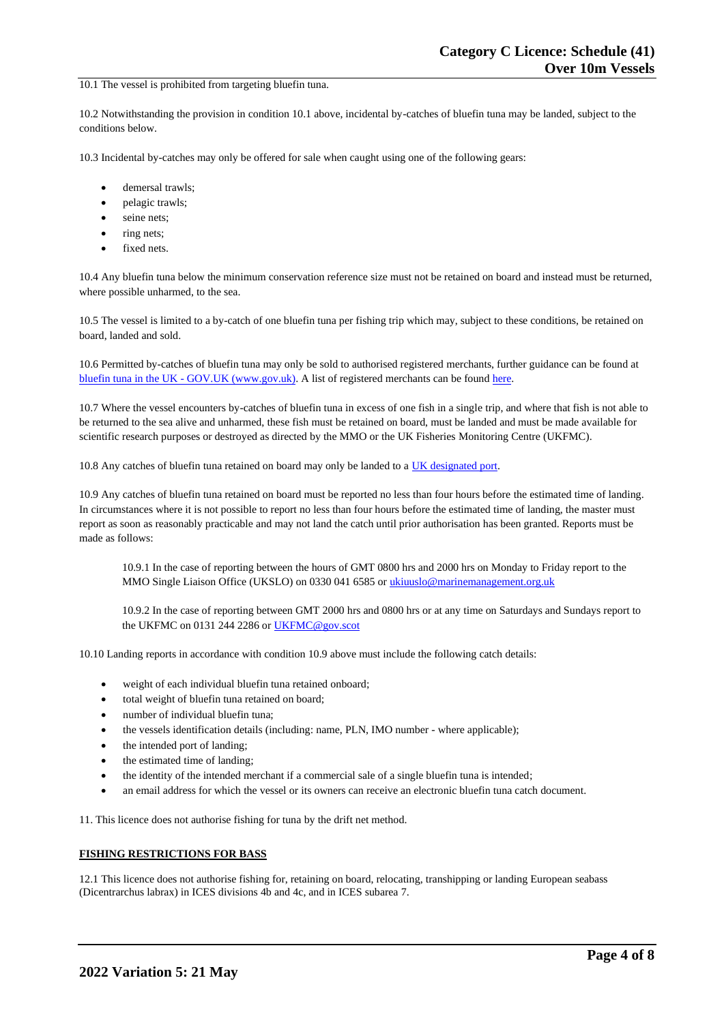#### 10.1 The vessel is prohibited from targeting bluefin tuna.

10.2 Notwithstanding the provision in condition 10.1 above, incidental by-catches of bluefin tuna may be landed, subject to the conditions below.

10.3 Incidental by-catches may only be offered for sale when caught using one of the following gears:

- demersal trawls;
- pelagic trawls;
- seine nets;
- ring nets;
- fixed nets.

10.4 Any bluefin tuna below the minimum conservation reference size must not be retained on board and instead must be returned, where possible unharmed, to the sea.

10.5 The vessel is limited to a by-catch of one bluefin tuna per fishing trip which may, subject to these conditions, be retained on board, landed and sold.

10.6 Permitted by-catches of bluefin tuna may only be sold to authorised registered merchants, further guidance can be found at bluefin tuna in the UK - [GOV.UK \(www.gov.uk\).](https://www.gov.uk/guidance/bluefin-tuna-in-the-uk) A list of registered merchants can be found [here.](https://www.gov.uk/government/publications/bluefin-tuna-traders/registered-bluefin-tuna-traders)

10.7 Where the vessel encounters by-catches of bluefin tuna in excess of one fish in a single trip, and where that fish is not able to be returned to the sea alive and unharmed, these fish must be retained on board, must be landed and must be made available for scientific research purposes or destroyed as directed by the MMO or the UK Fisheries Monitoring Centre (UKFMC).

10.8 Any catches of bluefin tuna retained on board may only be landed to [a UK designated port.](https://www.gov.uk/government/publications/designated-ports/designated-ports-for-uk-flagged-vessels-landing-bluefin-tuna)

10.9 Any catches of bluefin tuna retained on board must be reported no less than four hours before the estimated time of landing. In circumstances where it is not possible to report no less than four hours before the estimated time of landing, the master must report as soon as reasonably practicable and may not land the catch until prior authorisation has been granted. Reports must be made as follows:

10.9.1 In the case of reporting between the hours of GMT 0800 hrs and 2000 hrs on Monday to Friday report to the MMO Single Liaison Office (UKSLO) on 0330 041 6585 o[r ukiuuslo@marinemanagement.org.uk](mailto:ukiuuslo@marinemanagement.org.uk)

10.9.2 In the case of reporting between GMT 2000 hrs and 0800 hrs or at any time on Saturdays and Sundays report to the UKFMC on 0131 244 2286 o[r UKFMC@gov.scot](mailto:UKFMC@gov.scot)

10.10 Landing reports in accordance with condition 10.9 above must include the following catch details:

- weight of each individual bluefin tuna retained onboard;
- total weight of bluefin tuna retained on board:
- number of individual bluefin tuna;
- the vessels identification details (including: name, PLN, IMO number where applicable);
- the intended port of landing;
- the estimated time of landing;
- the identity of the intended merchant if a commercial sale of a single bluefin tuna is intended;
- an email address for which the vessel or its owners can receive an electronic bluefin tuna catch document.

11. This licence does not authorise fishing for tuna by the drift net method.

### **FISHING RESTRICTIONS FOR BASS**

12.1 This licence does not authorise fishing for, retaining on board, relocating, transhipping or landing European seabass (Dicentrarchus labrax) in ICES divisions 4b and 4c, and in ICES subarea 7.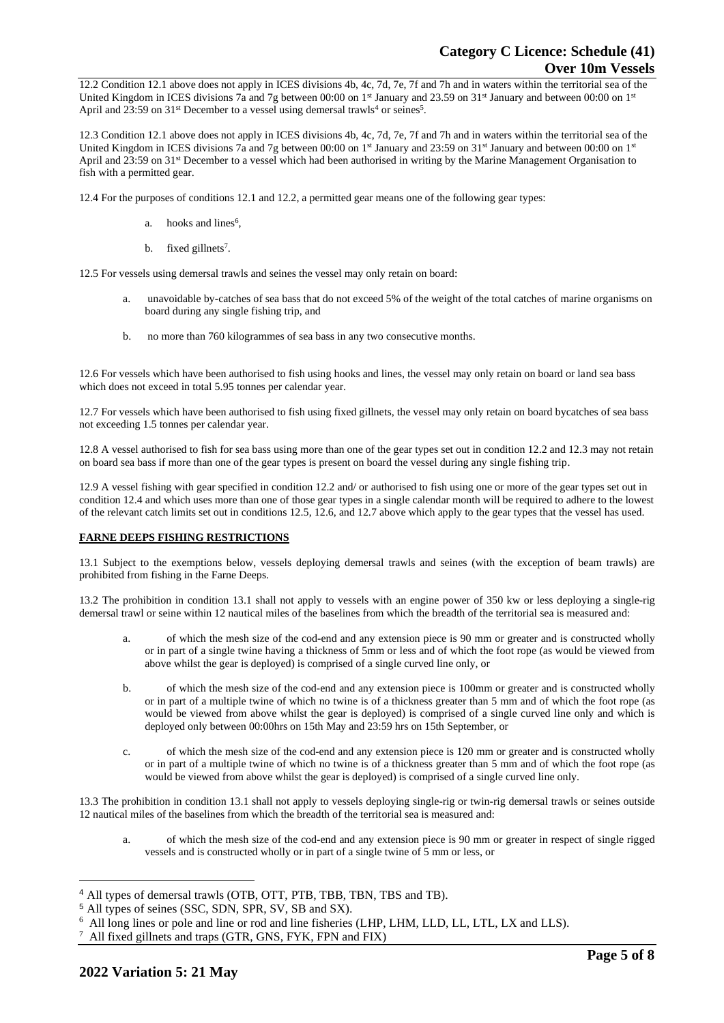12.2 Condition 12.1 above does not apply in ICES divisions 4b, 4c, 7d, 7e, 7f and 7h and in waters within the territorial sea of the United Kingdom in ICES divisions 7a and 7g between 00:00 on 1st January and 23.59 on 31st January and between 00:00 on 1st April and 23:59 on  $31^{st}$  December to a vessel using demersal trawls<sup>4</sup> or seines<sup>5</sup>.

12.3 Condition 12.1 above does not apply in ICES divisions 4b, 4c, 7d, 7e, 7f and 7h and in waters within the territorial sea of the United Kingdom in ICES divisions 7a and 7g between 00:00 on  $1<sup>st</sup>$  January and 23:59 on 31<sup>st</sup> January and between 00:00 on  $1<sup>st</sup>$ April and 23:59 on 31<sup>st</sup> December to a vessel which had been authorised in writing by the Marine Management Organisation to fish with a permitted gear.

12.4 For the purposes of conditions 12.1 and 12.2, a permitted gear means one of the following gear types:

- a. hooks and lines<sup>6</sup>,
- b. fixed gillnets<sup>7</sup>.

12.5 For vessels using demersal trawls and seines the vessel may only retain on board:

- a. unavoidable by-catches of sea bass that do not exceed 5% of the weight of the total catches of marine organisms on board during any single fishing trip, and
- b. no more than 760 kilogrammes of sea bass in any two consecutive months.

12.6 For vessels which have been authorised to fish using hooks and lines, the vessel may only retain on board or land sea bass which does not exceed in total 5.95 tonnes per calendar year.

12.7 For vessels which have been authorised to fish using fixed gillnets, the vessel may only retain on board bycatches of sea bass not exceeding 1.5 tonnes per calendar year.

12.8 A vessel authorised to fish for sea bass using more than one of the gear types set out in condition 12.2 and 12.3 may not retain on board sea bass if more than one of the gear types is present on board the vessel during any single fishing trip.

12.9 A vessel fishing with gear specified in condition 12.2 and/ or authorised to fish using one or more of the gear types set out in condition 12.4 and which uses more than one of those gear types in a single calendar month will be required to adhere to the lowest of the relevant catch limits set out in conditions 12.5, 12.6, and 12.7 above which apply to the gear types that the vessel has used.

# **FARNE DEEPS FISHING RESTRICTIONS**

13.1 Subject to the exemptions below, vessels deploying demersal trawls and seines (with the exception of beam trawls) are prohibited from fishing in the Farne Deeps.

13.2 The prohibition in condition 13.1 shall not apply to vessels with an engine power of 350 kw or less deploying a single-rig demersal trawl or seine within 12 nautical miles of the baselines from which the breadth of the territorial sea is measured and:

- of which the mesh size of the cod-end and any extension piece is 90 mm or greater and is constructed wholly or in part of a single twine having a thickness of 5mm or less and of which the foot rope (as would be viewed from above whilst the gear is deployed) is comprised of a single curved line only, or
- b. of which the mesh size of the cod-end and any extension piece is 100mm or greater and is constructed wholly or in part of a multiple twine of which no twine is of a thickness greater than 5 mm and of which the foot rope (as would be viewed from above whilst the gear is deployed) is comprised of a single curved line only and which is deployed only between 00:00hrs on 15th May and 23:59 hrs on 15th September, or
- c. of which the mesh size of the cod-end and any extension piece is 120 mm or greater and is constructed wholly or in part of a multiple twine of which no twine is of a thickness greater than 5 mm and of which the foot rope (as would be viewed from above whilst the gear is deployed) is comprised of a single curved line only.

13.3 The prohibition in condition 13.1 shall not apply to vessels deploying single-rig or twin-rig demersal trawls or seines outside 12 nautical miles of the baselines from which the breadth of the territorial sea is measured and:

a. of which the mesh size of the cod-end and any extension piece is 90 mm or greater in respect of single rigged vessels and is constructed wholly or in part of a single twine of 5 mm or less, or

<sup>4</sup> All types of demersal trawls (OTB, OTT, PTB, TBB, TBN, TBS and TB).

<sup>5</sup> All types of seines (SSC, SDN, SPR, SV, SB and SX).

<sup>6</sup> All long lines or pole and line or rod and line fisheries (LHP, LHM, LLD, LL, LTL, LX and LLS).

<sup>7</sup> All fixed gillnets and traps (GTR, GNS, FYK, FPN and FIX)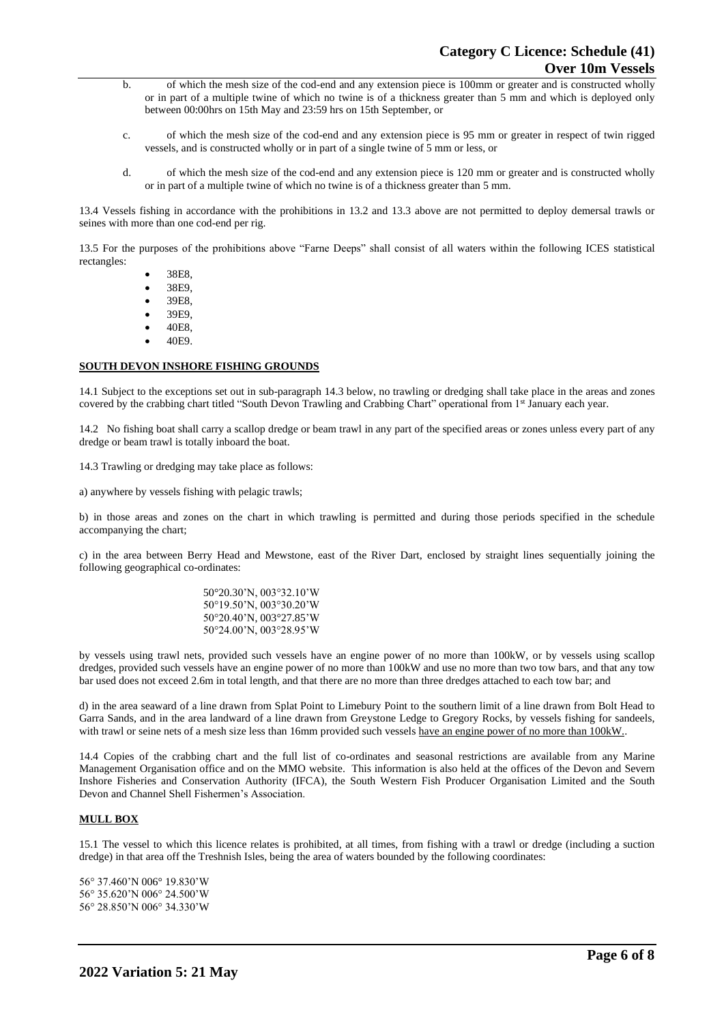- b. of which the mesh size of the cod-end and any extension piece is 100mm or greater and is constructed wholly or in part of a multiple twine of which no twine is of a thickness greater than 5 mm and which is deployed only between 00:00hrs on 15th May and 23:59 hrs on 15th September, or
- c. of which the mesh size of the cod-end and any extension piece is 95 mm or greater in respect of twin rigged vessels, and is constructed wholly or in part of a single twine of 5 mm or less, or
- d. of which the mesh size of the cod-end and any extension piece is 120 mm or greater and is constructed wholly or in part of a multiple twine of which no twine is of a thickness greater than 5 mm.

13.4 Vessels fishing in accordance with the prohibitions in 13.2 and 13.3 above are not permitted to deploy demersal trawls or seines with more than one cod-end per rig.

13.5 For the purposes of the prohibitions above "Farne Deeps" shall consist of all waters within the following ICES statistical rectangles:

- 38E8,
- 38E9,
- 39E8,
- 39E9,
- 40E8,
- 40E9.

# **SOUTH DEVON INSHORE FISHING GROUNDS**

14.1 Subject to the exceptions set out in sub-paragraph 14.3 below, no trawling or dredging shall take place in the areas and zones covered by the crabbing chart titled "South Devon Trawling and Crabbing Chart" operational from 1st January each year.

14.2 No fishing boat shall carry a scallop dredge or beam trawl in any part of the specified areas or zones unless every part of any dredge or beam trawl is totally inboard the boat.

14.3 Trawling or dredging may take place as follows:

a) anywhere by vessels fishing with pelagic trawls;

b) in those areas and zones on the chart in which trawling is permitted and during those periods specified in the schedule accompanying the chart;

c) in the area between Berry Head and Mewstone, east of the River Dart, enclosed by straight lines sequentially joining the following geographical co-ordinates:

> 50°20.30'N, 003°32.10'W 50°19.50'N, 003°30.20'W 50°20.40'N, 003°27.85'W 50°24.00'N, 003°28.95'W

by vessels using trawl nets, provided such vessels have an engine power of no more than 100kW, or by vessels using scallop dredges, provided such vessels have an engine power of no more than 100kW and use no more than two tow bars, and that any tow bar used does not exceed 2.6m in total length, and that there are no more than three dredges attached to each tow bar; and

d) in the area seaward of a line drawn from Splat Point to Limebury Point to the southern limit of a line drawn from Bolt Head to Garra Sands, and in the area landward of a line drawn from Greystone Ledge to Gregory Rocks, by vessels fishing for sandeels, with trawl or seine nets of a mesh size less than 16mm provided such vessels have an engine power of no more than 100kW..

14.4 Copies of the crabbing chart and the full list of co-ordinates and seasonal restrictions are available from any Marine Management Organisation office and on the MMO website. This information is also held at the offices of the Devon and Severn Inshore Fisheries and Conservation Authority (IFCA), the South Western Fish Producer Organisation Limited and the South Devon and Channel Shell Fishermen's Association.

## **MULL BOX**

15.1 The vessel to which this licence relates is prohibited, at all times, from fishing with a trawl or dredge (including a suction dredge) in that area off the Treshnish Isles, being the area of waters bounded by the following coordinates:

56° 37.460'N 006° 19.830'W 56° 35.620'N 006° 24.500'W 56° 28.850'N 006° 34.330'W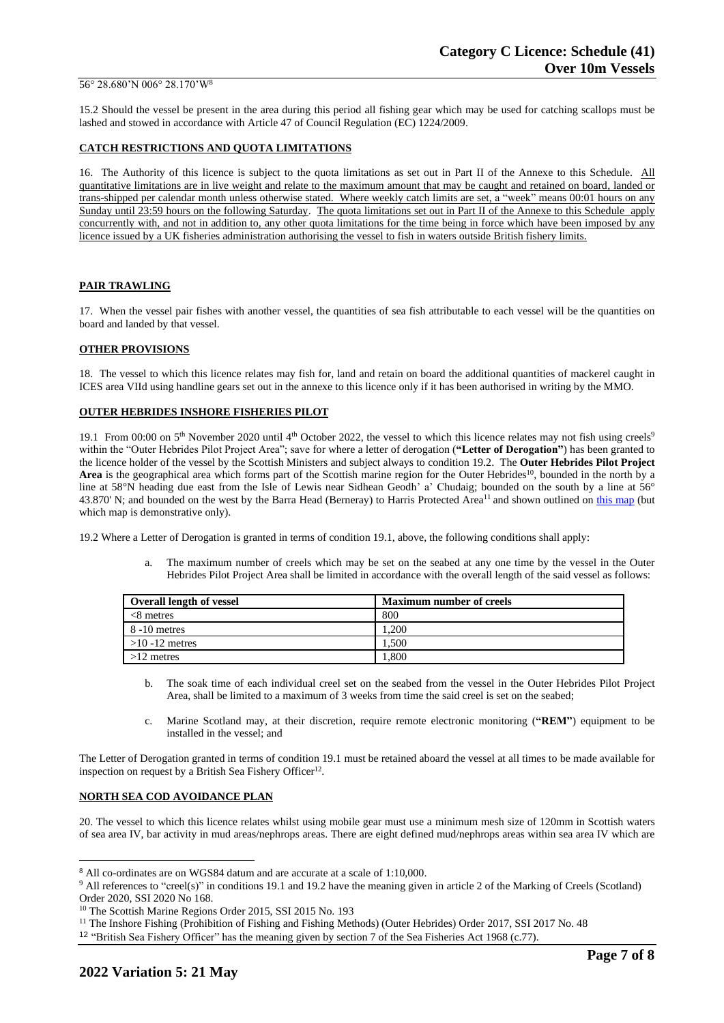#### 56° 28.680'N 006° 28.170'W<sup>8</sup>

15.2 Should the vessel be present in the area during this period all fishing gear which may be used for catching scallops must be lashed and stowed in accordance with Article 47 of Council Regulation (EC) 1224/2009.

### **CATCH RESTRICTIONS AND QUOTA LIMITATIONS**

16. The Authority of this licence is subject to the quota limitations as set out in Part II of the Annexe to this Schedule. All quantitative limitations are in live weight and relate to the maximum amount that may be caught and retained on board, landed or trans-shipped per calendar month unless otherwise stated. Where weekly catch limits are set, a "week" means 00:01 hours on any Sunday until 23:59 hours on the following Saturday. The quota limitations set out in Part II of the Annexe to this Schedule apply concurrently with, and not in addition to, any other quota limitations for the time being in force which have been imposed by any licence issued by a UK fisheries administration authorising the vessel to fish in waters outside British fishery limits.

### **PAIR TRAWLING**

17. When the vessel pair fishes with another vessel, the quantities of sea fish attributable to each vessel will be the quantities on board and landed by that vessel.

## **OTHER PROVISIONS**

18. The vessel to which this licence relates may fish for, land and retain on board the additional quantities of mackerel caught in ICES area VIId using handline gears set out in the annexe to this licence only if it has been authorised in writing by the MMO.

### **OUTER HEBRIDES INSHORE FISHERIES PILOT**

19.1 From 00:00 on  $5<sup>th</sup>$  November 2020 until  $4<sup>th</sup>$  October 2022, the vessel to which this licence relates may not fish using creels<sup>9</sup> within the "Outer Hebrides Pilot Project Area"; save for where a letter of derogation (**"Letter of Derogation"**) has been granted to the licence holder of the vessel by the Scottish Ministers and subject always to condition 19.2. The **Outer Hebrides Pilot Project**  Area is the geographical area which forms part of the Scottish marine region for the Outer Hebrides<sup>10</sup>, bounded in the north by a line at 58°N heading due east from the Isle of Lewis near Sidhean Geodh' a' Chudaig; bounded on the south by a line at 56° 43.870' N; and bounded on the west by the Barra Head (Berneray) to Harris Protected Area<sup>11</sup> and shown outlined on [this map](https://www.gov.scot/publications/outer-hebrides-inshore-fisheries-pilot-area) (but which map is demonstrative only).

19.2 Where a Letter of Derogation is granted in terms of condition 19.1, above, the following conditions shall apply:

a. The maximum number of creels which may be set on the seabed at any one time by the vessel in the Outer Hebrides Pilot Project Area shall be limited in accordance with the overall length of the said vessel as follows:

| <b>Overall length of vessel</b> | <b>Maximum number of creels</b> |
|---------------------------------|---------------------------------|
| $<8$ metres                     | 800                             |
| 8 -10 metres                    | .200                            |
| $>10 - 12$ metres               | 1.500                           |
| $>12$ metres                    | . 800                           |

- b. The soak time of each individual creel set on the seabed from the vessel in the Outer Hebrides Pilot Project Area, shall be limited to a maximum of 3 weeks from time the said creel is set on the seabed;
- c. Marine Scotland may, at their discretion, require remote electronic monitoring (**"REM"**) equipment to be installed in the vessel; and

The Letter of Derogation granted in terms of condition 19.1 must be retained aboard the vessel at all times to be made available for inspection on request by a British Sea Fishery Officer<sup>12</sup>.

#### **NORTH SEA COD AVOIDANCE PLAN**

20. The vessel to which this licence relates whilst using mobile gear must use a minimum mesh size of 120mm in Scottish waters of sea area IV, bar activity in mud areas/nephrops areas. There are eight defined mud/nephrops areas within sea area IV which are

<sup>8</sup> All co-ordinates are on WGS84 datum and are accurate at a scale of 1:10,000.

<sup>&</sup>lt;sup>9</sup> All references to "creel(s)" in conditions 19.1 and 19.2 have the meaning given in article 2 of the Marking of Creels (Scotland) Order 2020, SSI 2020 No 168.

<sup>&</sup>lt;sup>10</sup> The Scottish Marine Regions Order 2015, SSI 2015 No. 193

<sup>&</sup>lt;sup>11</sup> The Inshore Fishing (Prohibition of Fishing and Fishing Methods) (Outer Hebrides) Order 2017, SSI 2017 No. 48

<sup>12</sup> "British Sea Fishery Officer" has the meaning given by section 7 of the Sea Fisheries Act 1968 (c.77).